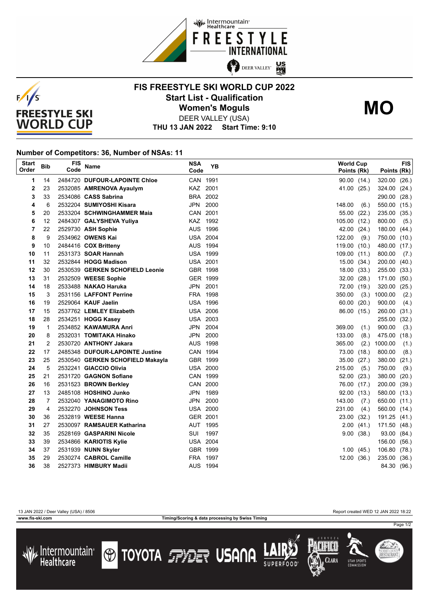



## **FIS FREESTYLE SKI WORLD CUP 2022 Start List - Qualification Women's Moguls MO**



DEER VALLEY (USA)

**THU 13 JAN 2022 Start Time: 9:10**

## **Number of Competitors: 36, Number of NSAs: 11**

| <b>Start</b><br>Order | <b>Bib</b>     | <b>FIS</b><br>Code | Name                                                                | <b>NSA</b><br>Code | <b>YB</b> | <b>World Cup</b><br>Points (Rk) |                | Points (Rk)      | <b>FIS</b>    |
|-----------------------|----------------|--------------------|---------------------------------------------------------------------|--------------------|-----------|---------------------------------|----------------|------------------|---------------|
| 1                     | 14             |                    | 2484720 DUFOUR-LAPOINTE Chloe                                       | CAN 1991           |           | 90.00(14.)                      |                | 320.00           | (26.)         |
| 2                     | 23             |                    | 2532085 AMRENOVA Ayaulym                                            | KAZ 2001           |           | 41.00                           | (25.)          | 324.00           | (24.)         |
| 3                     | 33             |                    | 2534086 CASS Sabrina                                                | BRA 2002           |           |                                 |                | 290.00           | (28.)         |
| 4                     | 6              |                    | 2532204 SUMIYOSHI Kisara                                            | JPN                | 2000      | 148.00                          | (6.)           | 550.00           | (15.)         |
| 5                     | 20             |                    | 2533204 SCHWINGHAMMER Maia                                          | CAN 2001           |           | 55.00                           | (22.)          | 235.00           | (35.)         |
| 6                     | 12             |                    | 2484307 GALYSHEVA Yuliya                                            | KAZ 1992           |           | 105.00                          | (12.)          | 800.00           | (5.)          |
| 7                     | 22             |                    | 2529730 ASH Sophie                                                  | AUS 1996           |           | 42.00                           | (24.)          | 180.00           | (44.)         |
| 8                     | 9              |                    | 2534962 OWENS Kai                                                   | <b>USA 2004</b>    |           | 122.00                          | (9.)           | 750.00           | (10.)         |
| 9                     | 10             |                    | 2484416 COX Britteny                                                | AUS 1994           |           | 119.00                          | (10.)          | 480.00           | (17.)         |
| 10                    | 11             |                    | 2531373 SOAR Hannah                                                 | <b>USA 1999</b>    |           | 109.00 (11.)                    |                | 800.00           | (7.)          |
| 11                    | 32             |                    | 2532844 HOGG Madison                                                | <b>USA 2001</b>    |           | 15.00(34.)                      |                | 200.00           | (40.)         |
| 12                    | 30             |                    | 2530539 GERKEN SCHOFIELD Leonie                                     | GBR 1998           |           | 18.00(33)                       |                | 255.00           | (33.)         |
| 13                    | 31             |                    | 2532509 WEESE Sophie                                                | GER 1999           |           | 32.00                           | (28.)          | 171.00           | (50.)         |
| 14                    | 18             |                    | 2533488 NAKAO Haruka                                                | JPN                | 2001      | 72.00 (19.)                     |                | 320.00           | (25.)         |
| 15                    | 3              |                    | 2531156 LAFFONT Perrine                                             | FRA 1998           |           | 350.00                          | (3.)           | 1000.00          | (2.)          |
| 16                    | 19             |                    | 2529064 KAUF Jaelin                                                 | <b>USA 1996</b>    |           | 60.00                           | (20.)          | 900.00           | (4.)          |
| 17                    | 15             |                    | 2537762 LEMLEY Elizabeth                                            | <b>USA 2006</b>    |           | 86.00 (15.)                     |                | 260.00           | (31.)         |
| 18                    | 28             |                    | 2534251 HOGG Kasey                                                  | <b>USA 2003</b>    |           |                                 |                | 255.00           | (32.)         |
| 19                    | 1              |                    | 2534852 KAWAMURA Anri                                               | JPN                | 2004      | 369.00                          | (1.)           | 900.00           | (3.)          |
| 20                    | 8              |                    | 2532031 TOMITAKA Hinako                                             | JPN<br>AUS 1998    | 2000      | 133.00                          | (8.)           | 475.00           | (18.)         |
| 21                    | 2              |                    | 2530720 ANTHONY Jakara                                              | CAN 1994           |           | 365.00                          | (2.)           | 1000.00          | (1.)          |
| 22<br>23              | 17<br>25       |                    | 2485348 DUFOUR-LAPOINTE Justine<br>2530540 GERKEN SCHOFIELD Makayla | GBR 1999           |           | 73.00<br>35.00                  | (18.)<br>(27.) | 800.00<br>380.00 | (8.)          |
| 24                    | 5              |                    | 2532241 GIACCIO Olivia                                              | <b>USA 2000</b>    |           | 215.00                          | (5.)           | 750.00           | (21.)<br>(9.) |
| 25                    | 21             |                    | 2531720 GAGNON Sofiane                                              | CAN 1999           |           | 52.00                           | (23.)          | 380.00           | (20.)         |
| 26                    | 16             |                    | 2531523 BROWN Berkley                                               | CAN 2000           |           | 76.00 (17.)                     |                | 200.00           | (39.)         |
| 27                    | 13             |                    | 2485108 HOSHINO Junko                                               | JPN 1989           |           | 92.00 (13.)                     |                | 580.00 (13.)     |               |
| 28                    | $\overline{7}$ |                    | 2532040 YANAGIMOTO Rino                                             | JPN                | 2000      | 143.00                          | (7.)           | 650.00           | (11.)         |
| 29                    | 4              |                    | 2532270 JOHNSON Tess                                                | <b>USA 2000</b>    |           | 231.00                          | (4.)           | 560.00           | (14.)         |
| 30                    | 36             |                    | 2532819 WEESE Hanna                                                 | GER 2001           |           | 23.00                           | (32.)          | 191.25           | (41.)         |
| 31                    | 27             |                    | 2530097 RAMSAUER Katharina                                          | AUT 1995           |           | 2.00                            | (41.)          | 171.50           | (48.)         |
| 32                    | 35             |                    | 2528169 GASPARINI Nicole                                            | SUI                | 1997      | 9.00                            | (38.)          | 93.00            | (84.)         |
| 33                    | 39             |                    | 2534866 KARIOTIS Kylie                                              | <b>USA 2004</b>    |           |                                 |                | 156.00           | (56.)         |
| 34                    | 37             |                    | 2531939 NUNN Skyler                                                 | GBR 1999           |           | 1.00                            | (45.)          | 106.80           | (78.)         |
| 35                    | 29             |                    | 2530274 CABROL Camille                                              | FRA 1997           |           | 12.00                           | (36.)          | 235.00           | (36.)         |
| 36                    | 38             |                    | 2527373 HIMBURY Madii                                               | AUS 1994           |           |                                 |                | 84.30 (96.)      |               |

**www.fis-ski.com Timing/Scoring & data processing by Swiss Timing**

13 JAN 2022 / Deer Valley (USA) / 8506 Report created WED 12 JAN 2022 18:22





**TOYOTA FRIET USANA** 







Page 1/2